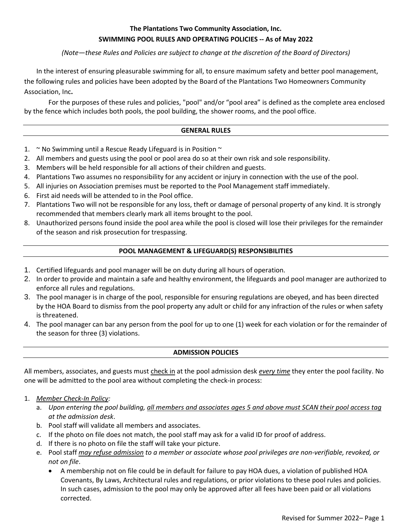## **The Plantations Two Community Association, Inc. SWIMMING POOL RULES AND OPERATING POLICIES -- As of May 2022**

## *(Note—these Rules and Policies are subject to change at the discretion of the Board of Directors)*

In the interest of ensuring pleasurable swimming for all, to ensure maximum safety and better pool management, the following rules and policies have been adopted by the Board of the Plantations Two Homeowners Community Association, Inc**.**

For the purposes of these rules and policies, "pool" and/or "pool area" is defined as the complete area enclosed by the fence which includes both pools, the pool building, the shower rooms, and the pool office.

### **GENERAL RULES**

- 1.  $\sim$  No Swimming until a Rescue Ready Lifeguard is in Position  $\sim$
- 2. All members and guests using the pool or pool area do so at their own risk and sole responsibility.
- 3. Members will be held responsible for all actions of their children and guests.
- 4. Plantations Two assumes no responsibility for any accident or injury in connection with the use of the pool.
- 5. All injuries on Association premises must be reported to the Pool Management staff immediately.
- 6. First aid needs will be attended to in the Pool office.
- 7. Plantations Two will not be responsible for any loss, theft or damage of personal property of any kind. It is strongly recommended that members clearly mark all items brought to the pool.
- 8. Unauthorized persons found inside the pool area while the pool is closed will lose their privileges for the remainder of the season and risk prosecution for trespassing.

## **POOL MANAGEMENT & LIFEGUARD(S) RESPONSIBILITIES**

- 1. Certified lifeguards and pool manager will be on duty during all hours of operation.
- 2. In order to provide and maintain a safe and healthy environment, the lifeguards and pool manager are authorized to enforce all rules and regulations.
- 3. The pool manager is in charge of the pool, responsible for ensuring regulations are obeyed, and has been directed by the HOA Board to dismiss from the pool property any adult or child for any infraction of the rules or when safety is threatened.
- 4. The pool manager can bar any person from the pool for up to one (1) week for each violation or for the remainder of the season for three (3) violations.

### **ADMISSION POLICIES**

All members, associates, and guests must check in at the pool admission desk *every time* they enter the pool facility. No one will be admitted to the pool area without completing the check-in process:

### 1. *Member Check-In Policy:*

- a. *Upon entering the pool building, all members and associates ages 5 and above must SCAN their pool access tag at the admission desk*.
- b. Pool staff will validate all members and associates.
- c. If the photo on file does not match, the pool staff may ask for a valid ID for proof of address.
- d. If there is no photo on file the staff will take your picture.
- e. Pool staff *may refuse admission to a member or associate whose pool privileges are non-verifiable, revoked, or not on file*.
	- A membership not on file could be in default for failure to pay HOA dues, a violation of published HOA Covenants, By Laws, Architectural rules and regulations, or prior violations to these pool rules and policies. In such cases, admission to the pool may only be approved after all fees have been paid or all violations corrected.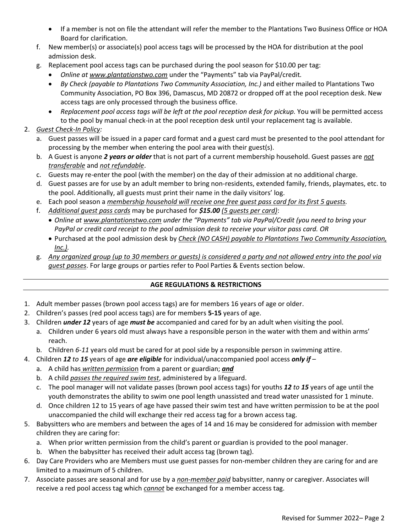- If a member is not on file the attendant will refer the member to the Plantations Two Business Office or HOA Board for clarification.
- f. New member(s) or associate(s) pool access tags will be processed by the HOA for distribution at the pool admission desk.
- g. Replacement pool access tags can be purchased during the pool season for \$10.00 per tag:
	- *Online at [www.plantationstwo.com](http://www.plantationstwo.com/)* under the "Payments" tab via PayPal/credit*.*
	- *By Check (payable to Plantations Two Community Association, Inc.)* and either mailed to Plantations Two Community Association, PO Box 396, Damascus, MD 20872 or dropped off at the pool reception desk. New access tags are only processed through the business office.
	- *Replacement pool access tags will be left at the pool reception desk for pickup.* You will be permitted access to the pool by manual check-in at the pool reception desk until your replacement tag is available.

# 2. *Guest Check-In Policy:*

- a. Guest passes will be issued in a paper card format and a guest card must be presented to the pool attendant for processing by the member when entering the pool area with their guest(s).
- b. A Guest is anyone *2 years or older* that is not part of a current membership household. Guest passes are *not transferable* and *not refundable*.
- c. Guests may re-enter the pool (with the member) on the day of their admission at no additional charge.
- d. Guest passes are for use by an adult member to bring non-residents, extended family, friends, playmates, etc. to the pool. Additionally, all guests must print their name in the daily visitors' log.
- e. Each pool season a *membership household will receive one free guest pass card for its first 5 guests.*
- f. *Additional guest pass cards* may be purchased for *\$15.00 (5 guests per card)*:
	- *Online at [www.plantationstwo.com](http://www.plantationstwo.com/) under the "Payments" tab via PayPal/Credit (you need to bring your PayPal or credit card receipt to the pool admission desk to receive your visitor pass card. OR*
	- Purchased at the pool admission desk by *Check (NO CASH) payable to Plantations Two Community Association, Inc.).*
- g. *Any organized group (up to 30 members or guests) is considered a party and not allowed entry into the pool via guest passes*. For large groups or parties refer to Pool Parties & Events section below.

## **AGE REGULATIONS & RESTRICTIONS**

- 1. Adult member passes (brown pool access tags) are for members 16 years of age or older.
- 2. Children's passes (red pool access tags) are for members **5-15** years of age.
- 3. Children *under 12* years of age *must be* accompanied and cared for by an adult when visiting the pool.
	- a. Children under 6 years old must always have a responsible person in the water with them and within arms' reach.
	- b. Children *6-11* years old must be cared for at pool side by a responsible person in swimming attire.
- 4. Children *12 to 15* years of age *are eligible* for individual/unaccompanied pool access *only if*
	- a. A child has *written permiss*ion from a parent or guardian; *and*
	- b. A child *passes the required swim test*, administered by a lifeguard.
	- c. The pool manager will not validate passes (brown pool access tags) for youths *12 to 15* years of age until the youth demonstrates the ability to swim one pool length unassisted and tread water unassisted for 1 minute.
	- d. Once children 12 to 15 years of age have passed their swim test and have written permission to be at the pool unaccompanied the child will exchange their red access tag for a brown access tag.
- 5. Babysitters who are members and between the ages of 14 and 16 may be considered for admission with member children they are caring for:
	- a. When prior written permission from the child's parent or guardian is provided to the pool manager.
	- b. When the babysitter has received their adult access tag (brown tag).
- 6. Day Care Providers who are Members must use guest passes for non-member children they are caring for and are limited to a maximum of 5 children.
- 7. Associate passes are seasonal and for use by a *non-member paid* babysitter, nanny or caregiver. Associates will receive a red pool access tag which *cannot* be exchanged for a member access tag.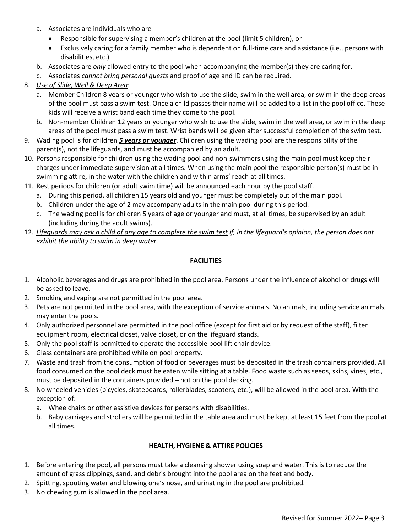- a. Associates are individuals who are --
	- Responsible for supervising a member's children at the pool (limit 5 children), or
	- Exclusively caring for a family member who is dependent on full-time care and assistance (i.e., persons with disabilities, etc.).
- b. Associates are *only* allowed entry to the pool when accompanying the member(s) they are caring for.
- c. Associates *cannot bring personal guests* and proof of age and ID can be required.

## 8. *Use of Slide, Well & Deep Area*:

- a. Member Children 8 years or younger who wish to use the slide, swim in the well area, or swim in the deep areas of the pool must pass a swim test. Once a child passes their name will be added to a list in the pool office. These kids will receive a wrist band each time they come to the pool.
- b. Non-member Children 12 years or younger who wish to use the slide, swim in the well area, or swim in the deep areas of the pool must pass a swim test. Wrist bands will be given after successful completion of the swim test.
- 9. Wading pool is for children *5 years or younger*. Children using the wading pool are the responsibility of the parent(s), not the lifeguards, and must be accompanied by an adult.
- 10. Persons responsible for children using the wading pool and non-swimmers using the main pool must keep their charges under immediate supervision at all times. When using the main pool the responsible person(s) must be in swimming attire, in the water with the children and within arms' reach at all times.
- 11. Rest periods for children (or adult swim time) will be announced each hour by the pool staff.
	- a. During this period, all children 15 years old and younger must be completely out of the main pool.
	- b. Children under the age of 2 may accompany adults in the main pool during this period.
	- c. The wading pool is for children 5 years of age or younger and must, at all times, be supervised by an adult (including during the adult swims).
- 12. *Lifeguards may ask a child of any age to complete the swim test if, in the lifeguard's opinion, the person does not exhibit the ability to swim in deep water.*

### **FACILITIES**

- 1. Alcoholic beverages and drugs are prohibited in the pool area. Persons under the influence of alcohol or drugs will be asked to leave.
- 2. Smoking and vaping are not permitted in the pool area.
- 3. Pets are not permitted in the pool area, with the exception of service animals. No animals, including service animals, may enter the pools.
- 4. Only authorized personnel are permitted in the pool office (except for first aid or by request of the staff), filter equipment room, electrical closet, valve closet, or on the lifeguard stands.
- 5. Only the pool staff is permitted to operate the accessible pool lift chair device.
- 6. Glass containers are prohibited while on pool property.
- 7. Waste and trash from the consumption of food or beverages must be deposited in the trash containers provided. All food consumed on the pool deck must be eaten while sitting at a table. Food waste such as seeds, skins, vines, etc., must be deposited in the containers provided – not on the pool decking. .
- 8. No wheeled vehicles (bicycles, skateboards, rollerblades, scooters, etc.), will be allowed in the pool area. With the exception of:
	- a. Wheelchairs or other assistive devices for persons with disabilities.
	- b. Baby carriages and strollers will be permitted in the table area and must be kept at least 15 feet from the pool at all times.

### **HEALTH, HYGIENE & ATTIRE POLICIES**

- 1. Before entering the pool, all persons must take a cleansing shower using soap and water. This is to reduce the amount of grass clippings, sand, and debris brought into the pool area on the feet and body.
- 2. Spitting, spouting water and blowing one's nose, and urinating in the pool are prohibited.
- 3. No chewing gum is allowed in the pool area.